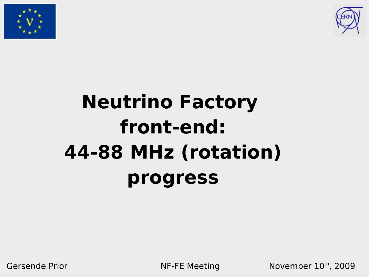



# **Neutrino Factory front-end: 44-88 MHz (rotation) progress**

Gersende Prior **NE-FE Meeting November 10th, 2009**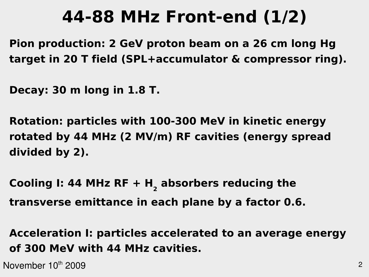# **44-88 MHz Front-end (1/2)**

**Pion production: 2 GeV proton beam on a 26 cm long Hg target in 20 T field (SPL+accumulator & compressor ring).**

**Decay: 30 m long in 1.8 T.**

**Rotation: particles with 100-300 MeV in kinetic energy rotated by 44 MHz (2 MV/m) RF cavities (energy spread divided by 2).**

**Cooling I: 44 MHz RF + H<sup>2</sup> absorbers reducing the transverse emittance in each plane by a factor 0.6.**

**Acceleration I: particles accelerated to an average energy of 300 MeV with 44 MHz cavities.**

November 10<sup>th</sup> 2009  $\sim$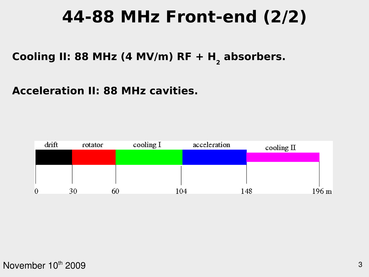# **44-88 MHz Front-end (2/2)**

**Cooling II: 88 MHz (4 MV/m) RF + H<sup>2</sup> absorbers.**

#### **Acceleration II: 88 MHz cavities.**

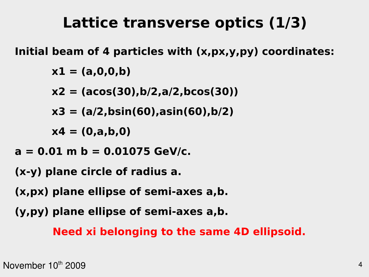### **Lattice transverse optics (1/3)**

**Initial beam of 4 particles with (x,px,y,py) coordinates:**

**x1 = (a,0,0,b)**

- **x2 = (acos(30),b/2,a/2,bcos(30))**
- **x3 = (a/2,bsin(60),asin(60),b/2)**

**x4 = (0,a,b,0)**

- **a = 0.01 m b = 0.01075 GeV/c.**
- **(x-y) plane circle of radius a.**
- **(x,px) plane ellipse of semi-axes a,b.**
- **(y,py) plane ellipse of semi-axes a,b.**

**Need xi belonging to the same 4D ellipsoid.**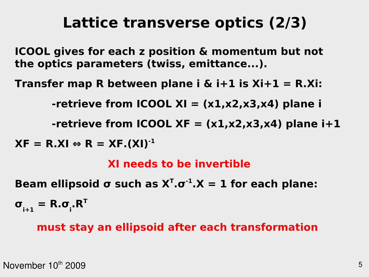### **Lattice transverse optics (2/3)**

**ICOOL gives for each z position & momentum but not the optics parameters (twiss, emittance...).**

**Transfer map R between plane i & i+1 is Xi+1 = R.Xi:**

**-retrieve from ICOOL XI = (x1,x2,x3,x4) plane i**

 $-$ retrieve from ICOOL XF =  $(x1,x2,x3,x4)$  plane  $i+1$ 

 $XF = R.XI \Leftrightarrow R = XF.(XI)^{-1}$ 

**XI needs to be invertible**

**Beam ellipsoid σ such as**  $X^T$ **.σ<sup>-1</sup>.X = 1 for each plane:** 

 $\sigma$ <sub>i+1</sub> = R.σ<sub>i</sub>.R<sup>T</sup>

#### **must stay an ellipsoid after each transformation**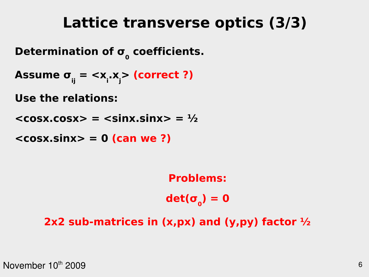### **Lattice transverse optics (3/3)**

**Determination of σ<sup>0</sup> coefficients.**

**Assume σij = <x<sup>i</sup> .xj > (correct ?)**

**Use the relations:**

 $<$ **cosx.cosx> =**  $<$ **sinx.sinx> =**  $\frac{1}{2}$ 

**<cosx.sinx> = 0 (can we ?)**

**Problems: det(σ<sup>0</sup> ) = 0**

**2x2 sub-matrices in (x,px) and (y,py) factor ½**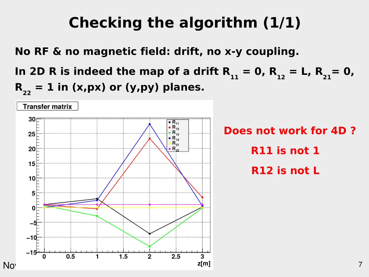### **Checking the algorithm (1/1)**

**No RF & no magnetic field: drift, no x-y coupling.**

In 2D R is indeed the map of a drift  $R_{11} = 0$ ,  $R_{12} = L$ ,  $R_{21} = 0$ ,  $R_{22} = 1$  in (x,px) or (y,py) planes.

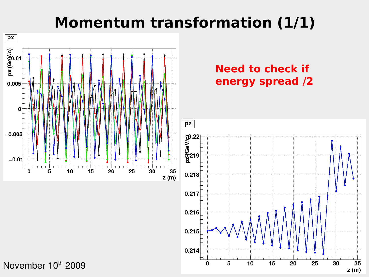#### **Momentum transformation (1/1)**

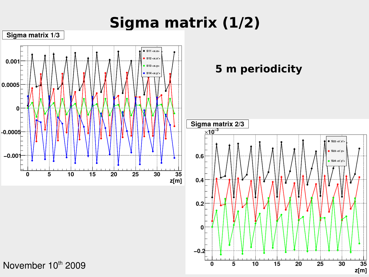# **Sigma matrix (1/2)**

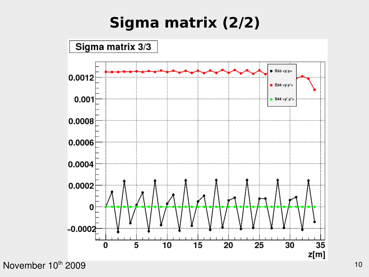# **Sigma matrix (2/2)**



November 10<sup>th</sup> 2009 10